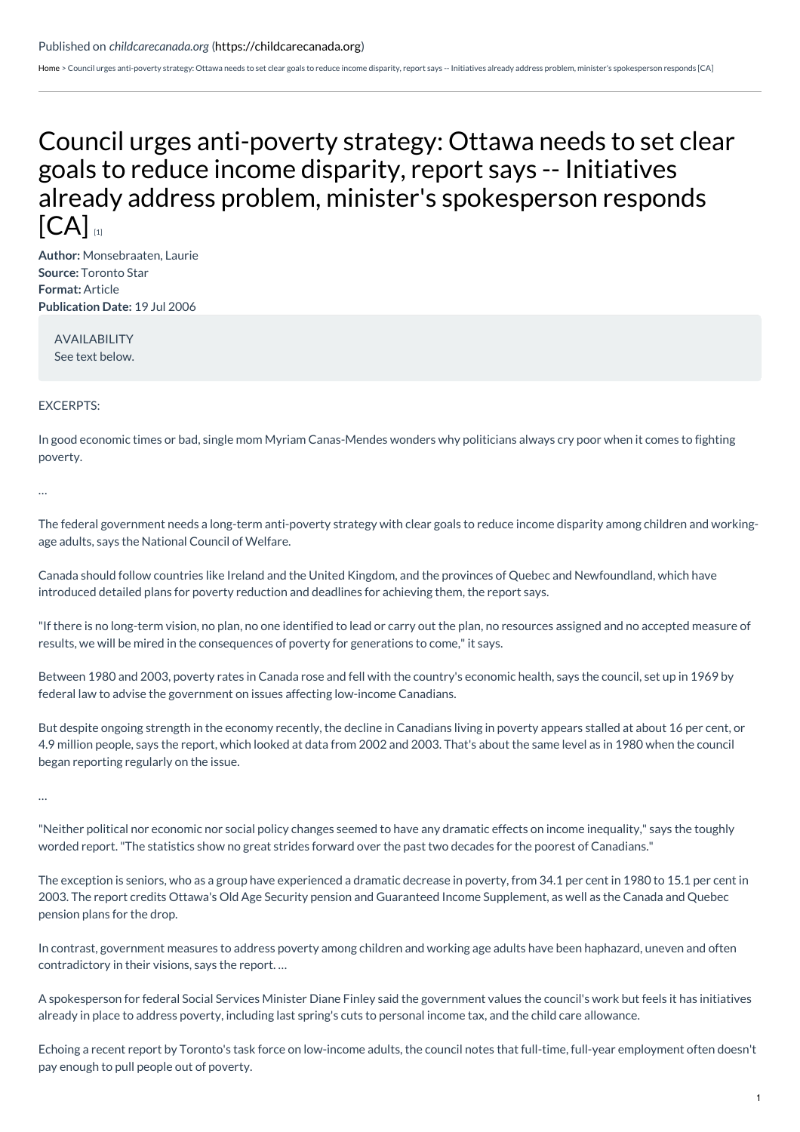## Published on *childcarecanada.org* [\(https://childcarecanada.org](https://childcarecanada.org))

[Home](https://childcarecanada.org/) > Council urges anti-poverty strategy: Ottawa needs to set clear goals to reduce income disparity, report says -- Initiatives already address problem, minister's spokesperson responds [CA]

## Council urges anti-poverty strategy: Ottawa needs to set clear goals to reduce income disparity, report says -- Initiatives already address problem, minister's [spokesperson](https://childcarecanada.org/documents/child-care-news/06/07/council-urges-anti-poverty-strategy-ottawa-needs-set-clear-goals) responds  ${[CA]}$

**Author:** Monsebraaten, Laurie **Source:** Toronto Star **Format:** Article **Publication Date:** 19 Jul 2006

AVAILABILITY See text below.

## EXCERPTS:

In good economic times or bad, single mom Myriam Canas-Mendes wonders why politicians always cry poor when it comes to fighting poverty.

…

The federal government needs a long-term anti-poverty strategy with clear goals to reduce income disparity among children and workingage adults, says the National Council of Welfare.

Canada should follow countries like Ireland and the United Kingdom, and the provinces of Quebec and Newfoundland, which have introduced detailed plans for poverty reduction and deadlines for achieving them, the report says.

"If there is no long-term vision, no plan, no one identified to lead or carry out the plan, no resources assigned and no accepted measure of results, we will be mired in the consequences of poverty for generations to come,"it says.

Between 1980 and 2003, poverty rates in Canada rose and fell with the country's economic health, says the council, set up in 1969 by federal law to advise the government on issues affecting low-income Canadians.

But despite ongoing strength in the economy recently, the decline in Canadians living in poverty appears stalled at about 16 per cent, or 4.9 million people, says the report, which looked at data from 2002 and 2003. That's about the same level as in 1980 when the council began reporting regularly on the issue.

…

"Neither political nor economic nor social policy changes seemed to have any dramatic effects on income inequality," says the toughly worded report."The statistics show no great strides forward over the past two decades for the poorest of Canadians."

The exception is seniors, who as a group have experienced a dramatic decrease in poverty, from 34.1 per cent in 1980 to 15.1 per cent in 2003. The report credits Ottawa's Old Age Security pension and Guaranteed Income Supplement, as well as the Canada and Quebec pension plans for the drop.

In contrast, government measures to address poverty among children and working age adults have been haphazard, uneven and often contradictory in their visions, says the report. …

A spokesperson for federal Social Services Minister Diane Finley said the government values the council's work but feels it has initiatives already in place to address poverty, including last spring's cuts to personal income tax, and the child care allowance.

Echoing a recent report by Toronto's task force on low-income adults, the council notes that full-time, full-year employment often doesn't pay enough to pull people out of poverty.